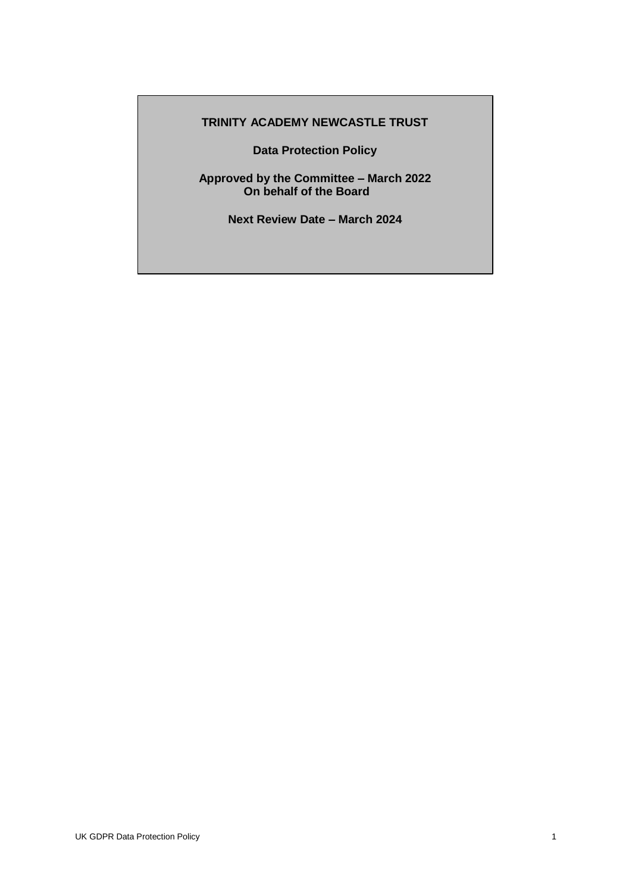# **TRINITY ACADEMY NEWCASTLE TRUST**

**Data Protection Policy**

**Approved by the Committee – March 2022 On behalf of the Board**

**Next Review Date – March 2024**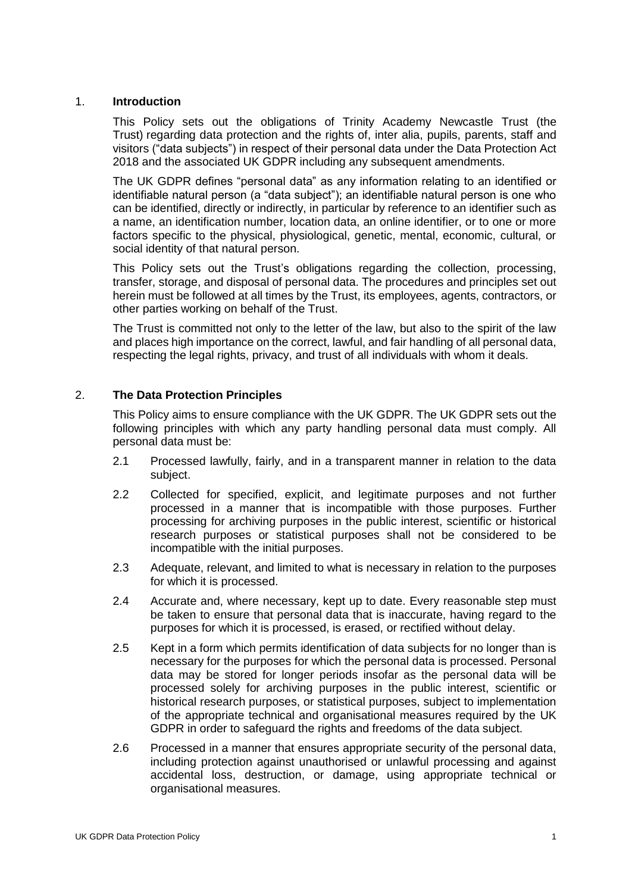#### 1. **Introduction**

This Policy sets out the obligations of Trinity Academy Newcastle Trust (the Trust) regarding data protection and the rights of, inter alia, pupils, parents, staff and visitors ("data subjects") in respect of their personal data under the Data Protection Act 2018 and the associated UK GDPR including any subsequent amendments.

The UK GDPR defines "personal data" as any information relating to an identified or identifiable natural person (a "data subject"); an identifiable natural person is one who can be identified, directly or indirectly, in particular by reference to an identifier such as a name, an identification number, location data, an online identifier, or to one or more factors specific to the physical, physiological, genetic, mental, economic, cultural, or social identity of that natural person.

This Policy sets out the Trust's obligations regarding the collection, processing, transfer, storage, and disposal of personal data. The procedures and principles set out herein must be followed at all times by the Trust, its employees, agents, contractors, or other parties working on behalf of the Trust.

The Trust is committed not only to the letter of the law, but also to the spirit of the law and places high importance on the correct, lawful, and fair handling of all personal data, respecting the legal rights, privacy, and trust of all individuals with whom it deals.

## 2. **The Data Protection Principles**

This Policy aims to ensure compliance with the UK GDPR. The UK GDPR sets out the following principles with which any party handling personal data must comply. All personal data must be:

- 2.1 Processed lawfully, fairly, and in a transparent manner in relation to the data subject.
- 2.2 Collected for specified, explicit, and legitimate purposes and not further processed in a manner that is incompatible with those purposes. Further processing for archiving purposes in the public interest, scientific or historical research purposes or statistical purposes shall not be considered to be incompatible with the initial purposes.
- 2.3 Adequate, relevant, and limited to what is necessary in relation to the purposes for which it is processed.
- 2.4 Accurate and, where necessary, kept up to date. Every reasonable step must be taken to ensure that personal data that is inaccurate, having regard to the purposes for which it is processed, is erased, or rectified without delay.
- 2.5 Kept in a form which permits identification of data subjects for no longer than is necessary for the purposes for which the personal data is processed. Personal data may be stored for longer periods insofar as the personal data will be processed solely for archiving purposes in the public interest, scientific or historical research purposes, or statistical purposes, subject to implementation of the appropriate technical and organisational measures required by the UK GDPR in order to safeguard the rights and freedoms of the data subject.
- 2.6 Processed in a manner that ensures appropriate security of the personal data, including protection against unauthorised or unlawful processing and against accidental loss, destruction, or damage, using appropriate technical or organisational measures.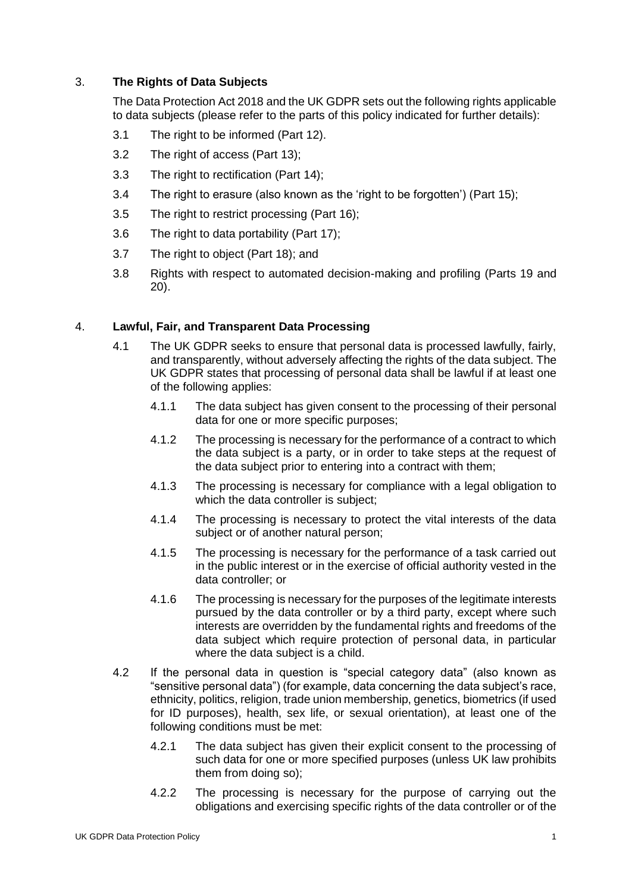# 3. **The Rights of Data Subjects**

The Data Protection Act 2018 and the UK GDPR sets out the following rights applicable to data subjects (please refer to the parts of this policy indicated for further details):

- 3.1 The right to be informed (Part 12).
- 3.2 The right of access (Part 13);
- 3.3 The right to rectification (Part 14);
- 3.4 The right to erasure (also known as the 'right to be forgotten') (Part 15);
- 3.5 The right to restrict processing (Part 16):
- 3.6 The right to data portability (Part 17);
- 3.7 The right to object (Part 18); and
- 3.8 Rights with respect to automated decision-making and profiling (Parts 19 and 20).

## 4. **Lawful, Fair, and Transparent Data Processing**

- 4.1 The UK GDPR seeks to ensure that personal data is processed lawfully, fairly, and transparently, without adversely affecting the rights of the data subject. The UK GDPR states that processing of personal data shall be lawful if at least one of the following applies:
	- 4.1.1 The data subject has given consent to the processing of their personal data for one or more specific purposes;
	- 4.1.2 The processing is necessary for the performance of a contract to which the data subject is a party, or in order to take steps at the request of the data subject prior to entering into a contract with them;
	- 4.1.3 The processing is necessary for compliance with a legal obligation to which the data controller is subject;
	- 4.1.4 The processing is necessary to protect the vital interests of the data subject or of another natural person:
	- 4.1.5 The processing is necessary for the performance of a task carried out in the public interest or in the exercise of official authority vested in the data controller; or
	- 4.1.6 The processing is necessary for the purposes of the legitimate interests pursued by the data controller or by a third party, except where such interests are overridden by the fundamental rights and freedoms of the data subject which require protection of personal data, in particular where the data subject is a child.
- 4.2 If the personal data in question is "special category data" (also known as "sensitive personal data") (for example, data concerning the data subject's race, ethnicity, politics, religion, trade union membership, genetics, biometrics (if used for ID purposes), health, sex life, or sexual orientation), at least one of the following conditions must be met:
	- 4.2.1 The data subject has given their explicit consent to the processing of such data for one or more specified purposes (unless UK law prohibits them from doing so);
	- 4.2.2 The processing is necessary for the purpose of carrying out the obligations and exercising specific rights of the data controller or of the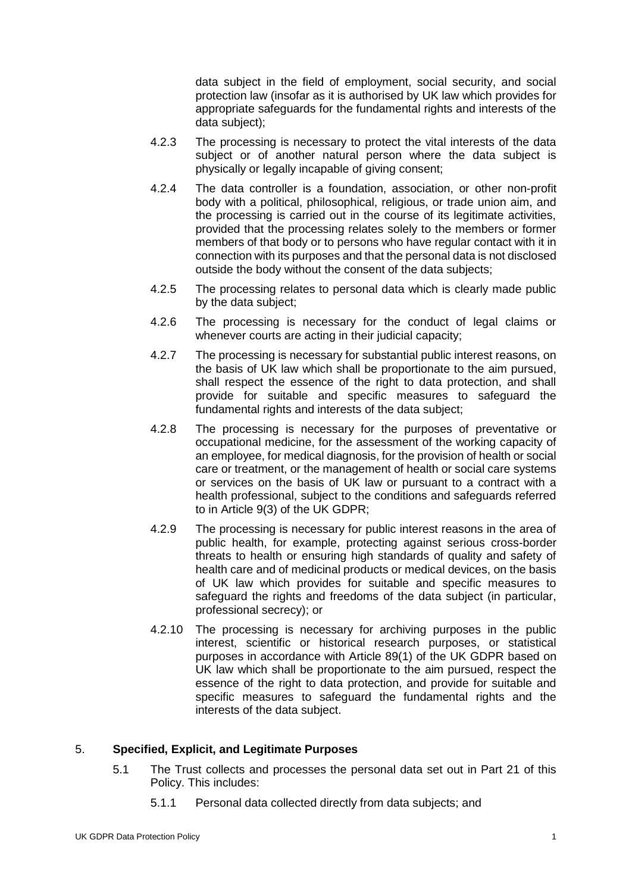data subject in the field of employment, social security, and social protection law (insofar as it is authorised by UK law which provides for appropriate safeguards for the fundamental rights and interests of the data subject);

- 4.2.3 The processing is necessary to protect the vital interests of the data subject or of another natural person where the data subject is physically or legally incapable of giving consent;
- 4.2.4 The data controller is a foundation, association, or other non-profit body with a political, philosophical, religious, or trade union aim, and the processing is carried out in the course of its legitimate activities, provided that the processing relates solely to the members or former members of that body or to persons who have regular contact with it in connection with its purposes and that the personal data is not disclosed outside the body without the consent of the data subjects;
- 4.2.5 The processing relates to personal data which is clearly made public by the data subject;
- 4.2.6 The processing is necessary for the conduct of legal claims or whenever courts are acting in their judicial capacity;
- 4.2.7 The processing is necessary for substantial public interest reasons, on the basis of UK law which shall be proportionate to the aim pursued, shall respect the essence of the right to data protection, and shall provide for suitable and specific measures to safeguard the fundamental rights and interests of the data subject;
- 4.2.8 The processing is necessary for the purposes of preventative or occupational medicine, for the assessment of the working capacity of an employee, for medical diagnosis, for the provision of health or social care or treatment, or the management of health or social care systems or services on the basis of UK law or pursuant to a contract with a health professional, subject to the conditions and safeguards referred to in Article 9(3) of the UK GDPR;
- 4.2.9 The processing is necessary for public interest reasons in the area of public health, for example, protecting against serious cross-border threats to health or ensuring high standards of quality and safety of health care and of medicinal products or medical devices, on the basis of UK law which provides for suitable and specific measures to safeguard the rights and freedoms of the data subject (in particular, professional secrecy); or
- 4.2.10 The processing is necessary for archiving purposes in the public interest, scientific or historical research purposes, or statistical purposes in accordance with Article 89(1) of the UK GDPR based on UK law which shall be proportionate to the aim pursued, respect the essence of the right to data protection, and provide for suitable and specific measures to safeguard the fundamental rights and the interests of the data subject.

## 5. **Specified, Explicit, and Legitimate Purposes**

- 5.1 The Trust collects and processes the personal data set out in Part 21 of this Policy. This includes:
	- 5.1.1 Personal data collected directly from data subjects; and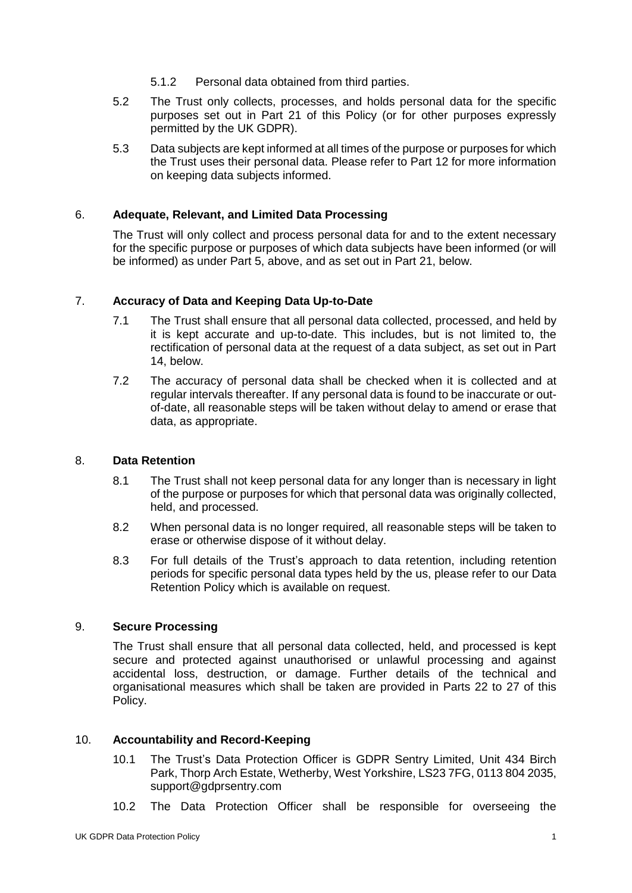- 5.1.2 Personal data obtained from third parties.
- 5.2 The Trust only collects, processes, and holds personal data for the specific purposes set out in Part 21 of this Policy (or for other purposes expressly permitted by the UK GDPR).
- 5.3 Data subjects are kept informed at all times of the purpose or purposes for which the Trust uses their personal data. Please refer to Part 12 for more information on keeping data subjects informed.

### 6. **Adequate, Relevant, and Limited Data Processing**

The Trust will only collect and process personal data for and to the extent necessary for the specific purpose or purposes of which data subjects have been informed (or will be informed) as under Part 5, above, and as set out in Part 21, below.

### 7. **Accuracy of Data and Keeping Data Up-to-Date**

- 7.1 The Trust shall ensure that all personal data collected, processed, and held by it is kept accurate and up-to-date. This includes, but is not limited to, the rectification of personal data at the request of a data subject, as set out in Part 14, below.
- 7.2 The accuracy of personal data shall be checked when it is collected and at regular intervals thereafter. If any personal data is found to be inaccurate or outof-date, all reasonable steps will be taken without delay to amend or erase that data, as appropriate.

#### 8. **Data Retention**

- 8.1 The Trust shall not keep personal data for any longer than is necessary in light of the purpose or purposes for which that personal data was originally collected, held, and processed.
- 8.2 When personal data is no longer required, all reasonable steps will be taken to erase or otherwise dispose of it without delay.
- 8.3 For full details of the Trust's approach to data retention, including retention periods for specific personal data types held by the us, please refer to our Data Retention Policy which is available on request.

#### 9. **Secure Processing**

The Trust shall ensure that all personal data collected, held, and processed is kept secure and protected against unauthorised or unlawful processing and against accidental loss, destruction, or damage. Further details of the technical and organisational measures which shall be taken are provided in Parts 22 to 27 of this Policy.

#### 10. **Accountability and Record-Keeping**

- 10.1 The Trust's Data Protection Officer is GDPR Sentry Limited, Unit 434 Birch Park, Thorp Arch Estate, Wetherby, West Yorkshire, LS23 7FG, 0113 804 2035, support@gdprsentry.com
- 10.2 The Data Protection Officer shall be responsible for overseeing the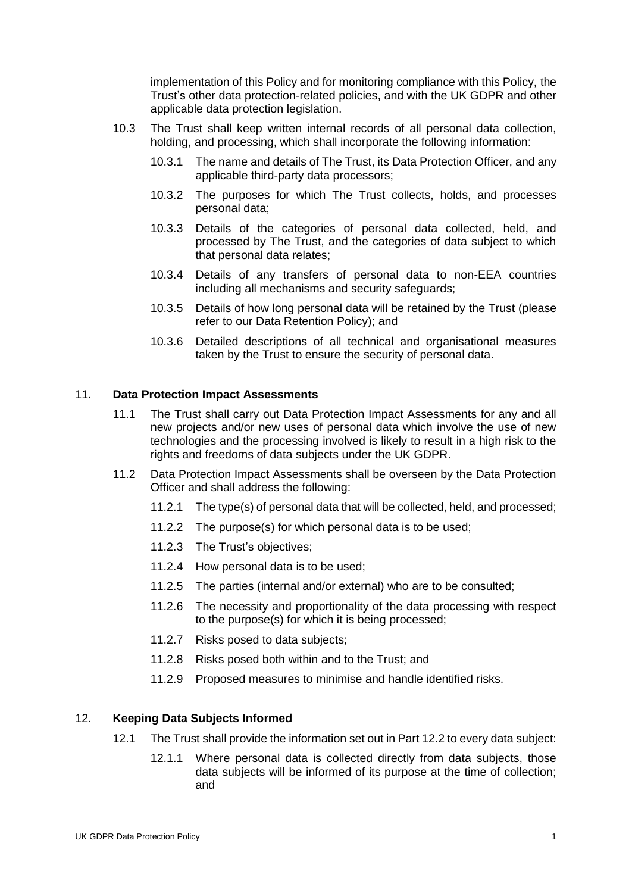implementation of this Policy and for monitoring compliance with this Policy, the Trust's other data protection-related policies, and with the UK GDPR and other applicable data protection legislation.

- 10.3 The Trust shall keep written internal records of all personal data collection, holding, and processing, which shall incorporate the following information:
	- 10.3.1 The name and details of The Trust, its Data Protection Officer, and any applicable third-party data processors;
	- 10.3.2 The purposes for which The Trust collects, holds, and processes personal data;
	- 10.3.3 Details of the categories of personal data collected, held, and processed by The Trust, and the categories of data subject to which that personal data relates;
	- 10.3.4 Details of any transfers of personal data to non-EEA countries including all mechanisms and security safeguards;
	- 10.3.5 Details of how long personal data will be retained by the Trust (please refer to our Data Retention Policy); and
	- 10.3.6 Detailed descriptions of all technical and organisational measures taken by the Trust to ensure the security of personal data.

### 11. **Data Protection Impact Assessments**

- 11.1 The Trust shall carry out Data Protection Impact Assessments for any and all new projects and/or new uses of personal data which involve the use of new technologies and the processing involved is likely to result in a high risk to the rights and freedoms of data subjects under the UK GDPR.
- 11.2 Data Protection Impact Assessments shall be overseen by the Data Protection Officer and shall address the following:
	- 11.2.1 The type(s) of personal data that will be collected, held, and processed;
	- 11.2.2 The purpose(s) for which personal data is to be used;
	- 11.2.3 The Trust's objectives;
	- 11.2.4 How personal data is to be used;
	- 11.2.5 The parties (internal and/or external) who are to be consulted;
	- 11.2.6 The necessity and proportionality of the data processing with respect to the purpose(s) for which it is being processed;
	- 11.2.7 Risks posed to data subjects;
	- 11.2.8 Risks posed both within and to the Trust; and
	- 11.2.9 Proposed measures to minimise and handle identified risks.

## 12. **Keeping Data Subjects Informed**

- 12.1 The Trust shall provide the information set out in Part 12.2 to every data subject:
	- 12.1.1 Where personal data is collected directly from data subjects, those data subjects will be informed of its purpose at the time of collection; and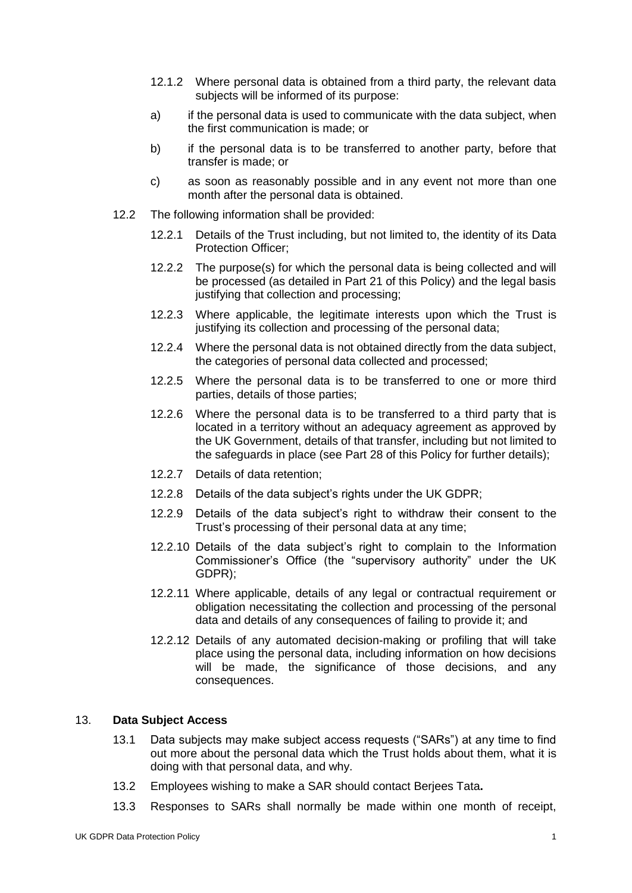- 12.1.2 Where personal data is obtained from a third party, the relevant data subjects will be informed of its purpose:
- a) if the personal data is used to communicate with the data subject, when the first communication is made; or
- b) if the personal data is to be transferred to another party, before that transfer is made; or
- c) as soon as reasonably possible and in any event not more than one month after the personal data is obtained.
- 12.2 The following information shall be provided:
	- 12.2.1 Details of the Trust including, but not limited to, the identity of its Data Protection Officer;
	- 12.2.2 The purpose(s) for which the personal data is being collected and will be processed (as detailed in Part 21 of this Policy) and the legal basis justifying that collection and processing;
	- 12.2.3 Where applicable, the legitimate interests upon which the Trust is justifying its collection and processing of the personal data;
	- 12.2.4 Where the personal data is not obtained directly from the data subject, the categories of personal data collected and processed;
	- 12.2.5 Where the personal data is to be transferred to one or more third parties, details of those parties;
	- 12.2.6 Where the personal data is to be transferred to a third party that is located in a territory without an adequacy agreement as approved by the UK Government, details of that transfer, including but not limited to the safeguards in place (see Part 28 of this Policy for further details);
	- 12.2.7 Details of data retention;
	- 12.2.8 Details of the data subject's rights under the UK GDPR;
	- 12.2.9 Details of the data subject's right to withdraw their consent to the Trust's processing of their personal data at any time;
	- 12.2.10 Details of the data subject's right to complain to the Information Commissioner's Office (the "supervisory authority" under the UK GDPR);
	- 12.2.11 Where applicable, details of any legal or contractual requirement or obligation necessitating the collection and processing of the personal data and details of any consequences of failing to provide it; and
	- 12.2.12 Details of any automated decision-making or profiling that will take place using the personal data, including information on how decisions will be made, the significance of those decisions, and any consequences.

#### 13. **Data Subject Access**

- 13.1 Data subjects may make subject access requests ("SARs") at any time to find out more about the personal data which the Trust holds about them, what it is doing with that personal data, and why.
- 13.2 Employees wishing to make a SAR should contact Berjees Tata**.**
- 13.3 Responses to SARs shall normally be made within one month of receipt,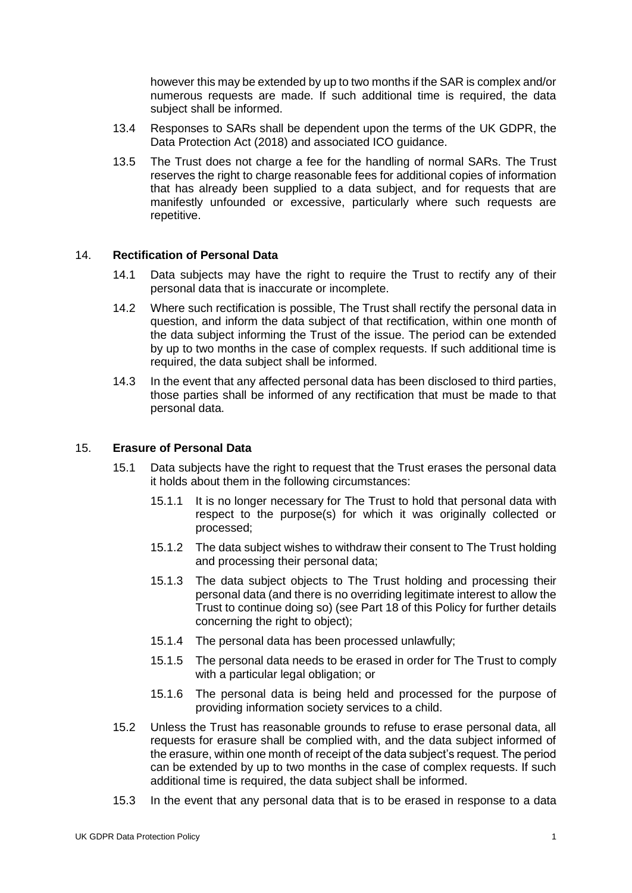however this may be extended by up to two months if the SAR is complex and/or numerous requests are made. If such additional time is required, the data subject shall be informed.

- 13.4 Responses to SARs shall be dependent upon the terms of the UK GDPR, the Data Protection Act (2018) and associated ICO guidance.
- 13.5 The Trust does not charge a fee for the handling of normal SARs. The Trust reserves the right to charge reasonable fees for additional copies of information that has already been supplied to a data subject, and for requests that are manifestly unfounded or excessive, particularly where such requests are repetitive.

### 14. **Rectification of Personal Data**

- 14.1 Data subjects may have the right to require the Trust to rectify any of their personal data that is inaccurate or incomplete.
- 14.2 Where such rectification is possible, The Trust shall rectify the personal data in question, and inform the data subject of that rectification, within one month of the data subject informing the Trust of the issue. The period can be extended by up to two months in the case of complex requests. If such additional time is required, the data subject shall be informed.
- 14.3 In the event that any affected personal data has been disclosed to third parties, those parties shall be informed of any rectification that must be made to that personal data.

#### 15. **Erasure of Personal Data**

- 15.1 Data subjects have the right to request that the Trust erases the personal data it holds about them in the following circumstances:
	- 15.1.1 It is no longer necessary for The Trust to hold that personal data with respect to the purpose(s) for which it was originally collected or processed;
	- 15.1.2 The data subject wishes to withdraw their consent to The Trust holding and processing their personal data;
	- 15.1.3 The data subject objects to The Trust holding and processing their personal data (and there is no overriding legitimate interest to allow the Trust to continue doing so) (see Part 18 of this Policy for further details concerning the right to object);
	- 15.1.4 The personal data has been processed unlawfully;
	- 15.1.5 The personal data needs to be erased in order for The Trust to comply with a particular legal obligation; or
	- 15.1.6 The personal data is being held and processed for the purpose of providing information society services to a child.
- 15.2 Unless the Trust has reasonable grounds to refuse to erase personal data, all requests for erasure shall be complied with, and the data subject informed of the erasure, within one month of receipt of the data subject's request. The period can be extended by up to two months in the case of complex requests. If such additional time is required, the data subject shall be informed.
- 15.3 In the event that any personal data that is to be erased in response to a data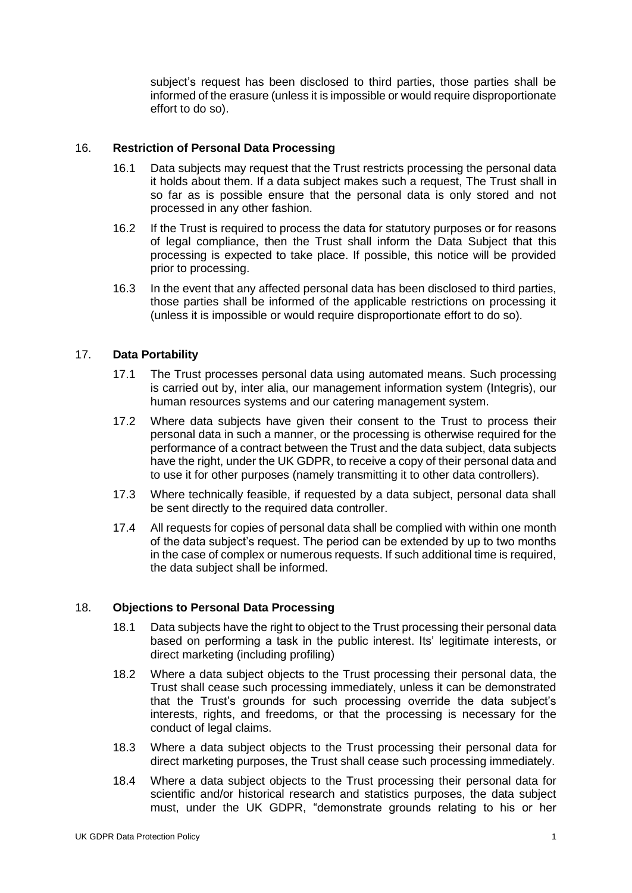subject's request has been disclosed to third parties, those parties shall be informed of the erasure (unless it is impossible or would require disproportionate effort to do so).

### 16. **Restriction of Personal Data Processing**

- 16.1 Data subjects may request that the Trust restricts processing the personal data it holds about them. If a data subject makes such a request, The Trust shall in so far as is possible ensure that the personal data is only stored and not processed in any other fashion.
- 16.2 If the Trust is required to process the data for statutory purposes or for reasons of legal compliance, then the Trust shall inform the Data Subject that this processing is expected to take place. If possible, this notice will be provided prior to processing.
- 16.3 In the event that any affected personal data has been disclosed to third parties, those parties shall be informed of the applicable restrictions on processing it (unless it is impossible or would require disproportionate effort to do so).

## 17. **Data Portability**

- 17.1 The Trust processes personal data using automated means. Such processing is carried out by, inter alia, our management information system (Integris), our human resources systems and our catering management system.
- 17.2 Where data subjects have given their consent to the Trust to process their personal data in such a manner, or the processing is otherwise required for the performance of a contract between the Trust and the data subject, data subjects have the right, under the UK GDPR, to receive a copy of their personal data and to use it for other purposes (namely transmitting it to other data controllers).
- 17.3 Where technically feasible, if requested by a data subject, personal data shall be sent directly to the required data controller.
- 17.4 All requests for copies of personal data shall be complied with within one month of the data subject's request. The period can be extended by up to two months in the case of complex or numerous requests. If such additional time is required, the data subject shall be informed.

#### 18. **Objections to Personal Data Processing**

- 18.1 Data subjects have the right to object to the Trust processing their personal data based on performing a task in the public interest. Its' legitimate interests, or direct marketing (including profiling)
- 18.2 Where a data subject objects to the Trust processing their personal data, the Trust shall cease such processing immediately, unless it can be demonstrated that the Trust's grounds for such processing override the data subject's interests, rights, and freedoms, or that the processing is necessary for the conduct of legal claims.
- 18.3 Where a data subject objects to the Trust processing their personal data for direct marketing purposes, the Trust shall cease such processing immediately.
- 18.4 Where a data subject objects to the Trust processing their personal data for scientific and/or historical research and statistics purposes, the data subject must, under the UK GDPR, "demonstrate grounds relating to his or her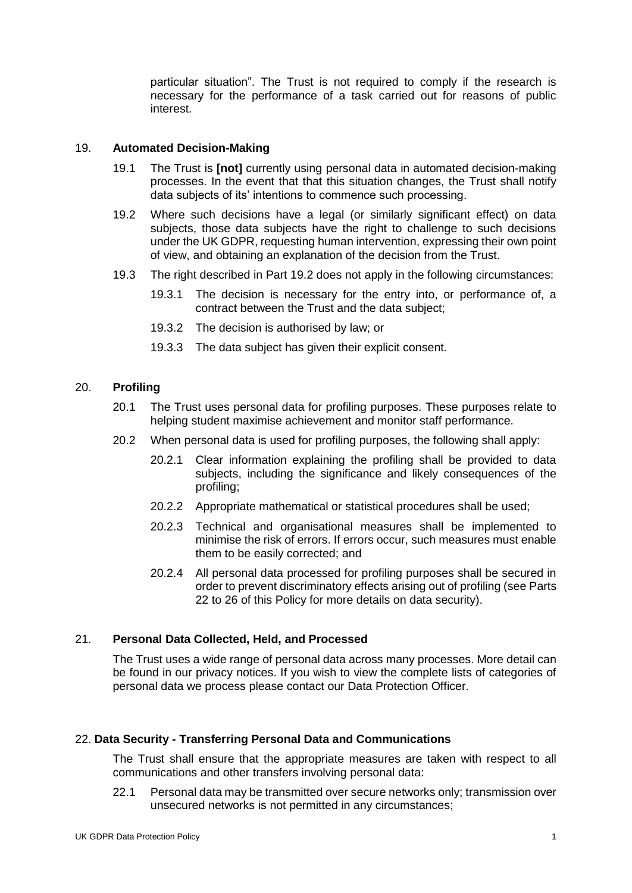particular situation". The Trust is not required to comply if the research is necessary for the performance of a task carried out for reasons of public interest.

#### 19. **Automated Decision-Making**

- 19.1 The Trust is **[not]** currently using personal data in automated decision-making processes. In the event that that this situation changes, the Trust shall notify data subjects of its' intentions to commence such processing.
- 19.2 Where such decisions have a legal (or similarly significant effect) on data subjects, those data subjects have the right to challenge to such decisions under the UK GDPR, requesting human intervention, expressing their own point of view, and obtaining an explanation of the decision from the Trust.
- 19.3 The right described in Part 19.2 does not apply in the following circumstances:
	- 19.3.1 The decision is necessary for the entry into, or performance of, a contract between the Trust and the data subject;
	- 19.3.2 The decision is authorised by law; or
	- 19.3.3 The data subject has given their explicit consent.

## 20. **Profiling**

- 20.1 The Trust uses personal data for profiling purposes. These purposes relate to helping student maximise achievement and monitor staff performance.
- 20.2 When personal data is used for profiling purposes, the following shall apply:
	- 20.2.1 Clear information explaining the profiling shall be provided to data subjects, including the significance and likely consequences of the profiling;
	- 20.2.2 Appropriate mathematical or statistical procedures shall be used;
	- 20.2.3 Technical and organisational measures shall be implemented to minimise the risk of errors. If errors occur, such measures must enable them to be easily corrected; and
	- 20.2.4 All personal data processed for profiling purposes shall be secured in order to prevent discriminatory effects arising out of profiling (see Parts 22 to 26 of this Policy for more details on data security).

## 21. **Personal Data Collected, Held, and Processed**

The Trust uses a wide range of personal data across many processes. More detail can be found in our privacy notices. If you wish to view the complete lists of categories of personal data we process please contact our Data Protection Officer.

## 22. **Data Security - Transferring Personal Data and Communications**

The Trust shall ensure that the appropriate measures are taken with respect to all communications and other transfers involving personal data:

22.1 Personal data may be transmitted over secure networks only; transmission over unsecured networks is not permitted in any circumstances;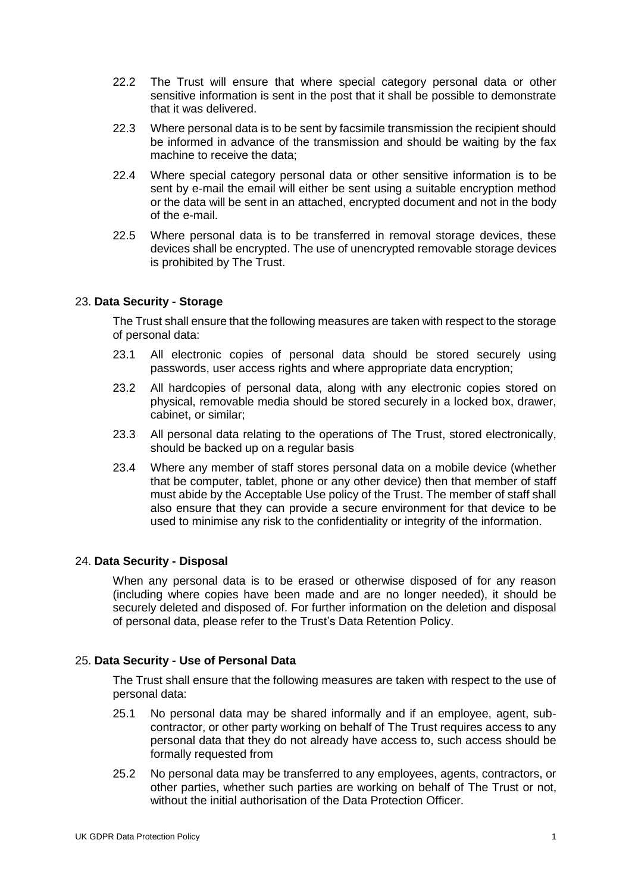- 22.2 The Trust will ensure that where special category personal data or other sensitive information is sent in the post that it shall be possible to demonstrate that it was delivered.
- 22.3 Where personal data is to be sent by facsimile transmission the recipient should be informed in advance of the transmission and should be waiting by the fax machine to receive the data;
- 22.4 Where special category personal data or other sensitive information is to be sent by e-mail the email will either be sent using a suitable encryption method or the data will be sent in an attached, encrypted document and not in the body of the e-mail.
- 22.5 Where personal data is to be transferred in removal storage devices, these devices shall be encrypted. The use of unencrypted removable storage devices is prohibited by The Trust.

## 23. **Data Security - Storage**

The Trust shall ensure that the following measures are taken with respect to the storage of personal data:

- 23.1 All electronic copies of personal data should be stored securely using passwords, user access rights and where appropriate data encryption;
- 23.2 All hardcopies of personal data, along with any electronic copies stored on physical, removable media should be stored securely in a locked box, drawer, cabinet, or similar;
- 23.3 All personal data relating to the operations of The Trust, stored electronically, should be backed up on a regular basis
- 23.4 Where any member of staff stores personal data on a mobile device (whether that be computer, tablet, phone or any other device) then that member of staff must abide by the Acceptable Use policy of the Trust. The member of staff shall also ensure that they can provide a secure environment for that device to be used to minimise any risk to the confidentiality or integrity of the information.

## 24. **Data Security - Disposal**

When any personal data is to be erased or otherwise disposed of for any reason (including where copies have been made and are no longer needed), it should be securely deleted and disposed of. For further information on the deletion and disposal of personal data, please refer to the Trust's Data Retention Policy.

## 25. **Data Security - Use of Personal Data**

The Trust shall ensure that the following measures are taken with respect to the use of personal data:

- 25.1 No personal data may be shared informally and if an employee, agent, subcontractor, or other party working on behalf of The Trust requires access to any personal data that they do not already have access to, such access should be formally requested from
- 25.2 No personal data may be transferred to any employees, agents, contractors, or other parties, whether such parties are working on behalf of The Trust or not, without the initial authorisation of the Data Protection Officer.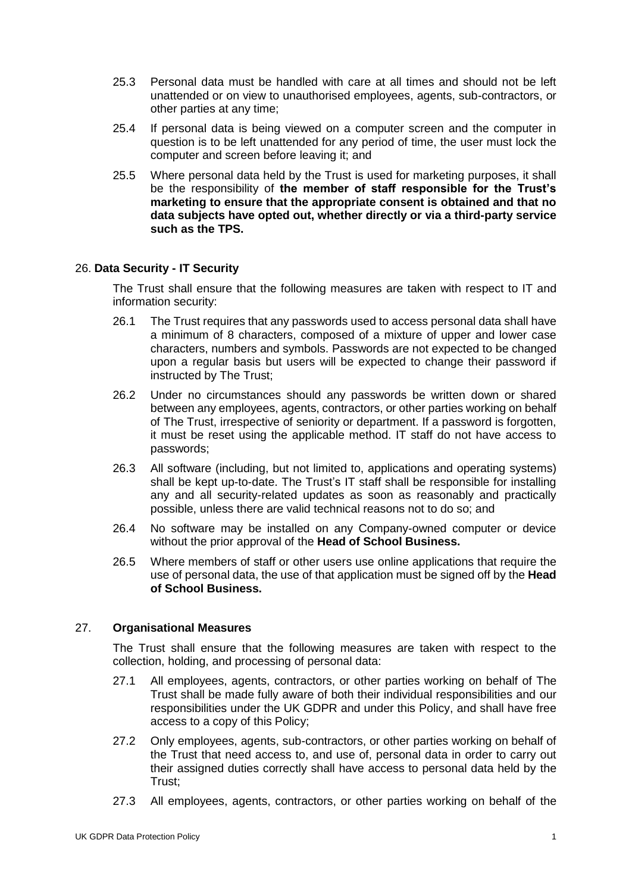- 25.3 Personal data must be handled with care at all times and should not be left unattended or on view to unauthorised employees, agents, sub-contractors, or other parties at any time;
- 25.4 If personal data is being viewed on a computer screen and the computer in question is to be left unattended for any period of time, the user must lock the computer and screen before leaving it; and
- 25.5 Where personal data held by the Trust is used for marketing purposes, it shall be the responsibility of **the member of staff responsible for the Trust's marketing to ensure that the appropriate consent is obtained and that no data subjects have opted out, whether directly or via a third-party service such as the TPS.**

## 26. **Data Security - IT Security**

The Trust shall ensure that the following measures are taken with respect to IT and information security:

- 26.1 The Trust requires that any passwords used to access personal data shall have a minimum of 8 characters, composed of a mixture of upper and lower case characters, numbers and symbols. Passwords are not expected to be changed upon a regular basis but users will be expected to change their password if instructed by The Trust;
- 26.2 Under no circumstances should any passwords be written down or shared between any employees, agents, contractors, or other parties working on behalf of The Trust, irrespective of seniority or department. If a password is forgotten, it must be reset using the applicable method. IT staff do not have access to passwords;
- 26.3 All software (including, but not limited to, applications and operating systems) shall be kept up-to-date. The Trust's IT staff shall be responsible for installing any and all security-related updates as soon as reasonably and practically possible, unless there are valid technical reasons not to do so; and
- 26.4 No software may be installed on any Company-owned computer or device without the prior approval of the **Head of School Business.**
- 26.5 Where members of staff or other users use online applications that require the use of personal data, the use of that application must be signed off by the **Head of School Business.**

#### 27. **Organisational Measures**

The Trust shall ensure that the following measures are taken with respect to the collection, holding, and processing of personal data:

- 27.1 All employees, agents, contractors, or other parties working on behalf of The Trust shall be made fully aware of both their individual responsibilities and our responsibilities under the UK GDPR and under this Policy, and shall have free access to a copy of this Policy;
- 27.2 Only employees, agents, sub-contractors, or other parties working on behalf of the Trust that need access to, and use of, personal data in order to carry out their assigned duties correctly shall have access to personal data held by the Trust;
- 27.3 All employees, agents, contractors, or other parties working on behalf of the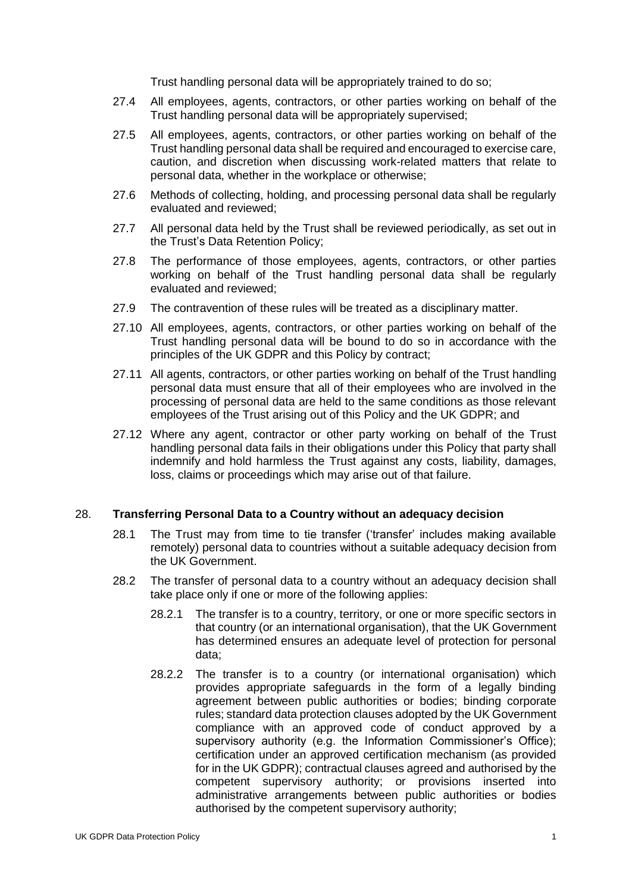Trust handling personal data will be appropriately trained to do so;

- 27.4 All employees, agents, contractors, or other parties working on behalf of the Trust handling personal data will be appropriately supervised;
- 27.5 All employees, agents, contractors, or other parties working on behalf of the Trust handling personal data shall be required and encouraged to exercise care, caution, and discretion when discussing work-related matters that relate to personal data, whether in the workplace or otherwise;
- 27.6 Methods of collecting, holding, and processing personal data shall be regularly evaluated and reviewed;
- 27.7 All personal data held by the Trust shall be reviewed periodically, as set out in the Trust's Data Retention Policy;
- 27.8 The performance of those employees, agents, contractors, or other parties working on behalf of the Trust handling personal data shall be regularly evaluated and reviewed;
- 27.9 The contravention of these rules will be treated as a disciplinary matter.
- 27.10 All employees, agents, contractors, or other parties working on behalf of the Trust handling personal data will be bound to do so in accordance with the principles of the UK GDPR and this Policy by contract;
- 27.11 All agents, contractors, or other parties working on behalf of the Trust handling personal data must ensure that all of their employees who are involved in the processing of personal data are held to the same conditions as those relevant employees of the Trust arising out of this Policy and the UK GDPR; and
- 27.12 Where any agent, contractor or other party working on behalf of the Trust handling personal data fails in their obligations under this Policy that party shall indemnify and hold harmless the Trust against any costs, liability, damages, loss, claims or proceedings which may arise out of that failure.

### 28. **Transferring Personal Data to a Country without an adequacy decision**

- 28.1 The Trust may from time to tie transfer ('transfer' includes making available remotely) personal data to countries without a suitable adequacy decision from the UK Government.
- 28.2 The transfer of personal data to a country without an adequacy decision shall take place only if one or more of the following applies:
	- 28.2.1 The transfer is to a country, territory, or one or more specific sectors in that country (or an international organisation), that the UK Government has determined ensures an adequate level of protection for personal data;
	- 28.2.2 The transfer is to a country (or international organisation) which provides appropriate safeguards in the form of a legally binding agreement between public authorities or bodies; binding corporate rules; standard data protection clauses adopted by the UK Government compliance with an approved code of conduct approved by a supervisory authority (e.g. the Information Commissioner's Office): certification under an approved certification mechanism (as provided for in the UK GDPR); contractual clauses agreed and authorised by the competent supervisory authority; or provisions inserted into administrative arrangements between public authorities or bodies authorised by the competent supervisory authority;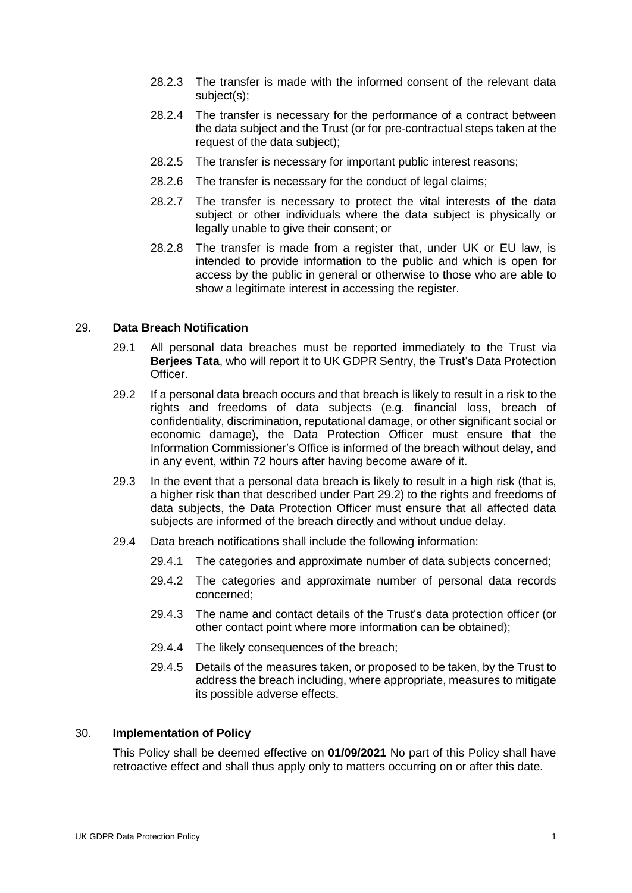- 28.2.3 The transfer is made with the informed consent of the relevant data subject(s);
- 28.2.4 The transfer is necessary for the performance of a contract between the data subject and the Trust (or for pre-contractual steps taken at the request of the data subject);
- 28.2.5 The transfer is necessary for important public interest reasons;
- 28.2.6 The transfer is necessary for the conduct of legal claims;
- 28.2.7 The transfer is necessary to protect the vital interests of the data subject or other individuals where the data subject is physically or legally unable to give their consent; or
- 28.2.8 The transfer is made from a register that, under UK or EU law, is intended to provide information to the public and which is open for access by the public in general or otherwise to those who are able to show a legitimate interest in accessing the register.

### 29. **Data Breach Notification**

- 29.1 All personal data breaches must be reported immediately to the Trust via **Berjees Tata**, who will report it to UK GDPR Sentry, the Trust's Data Protection Officer.
- 29.2 If a personal data breach occurs and that breach is likely to result in a risk to the rights and freedoms of data subjects (e.g. financial loss, breach of confidentiality, discrimination, reputational damage, or other significant social or economic damage), the Data Protection Officer must ensure that the Information Commissioner's Office is informed of the breach without delay, and in any event, within 72 hours after having become aware of it.
- 29.3 In the event that a personal data breach is likely to result in a high risk (that is, a higher risk than that described under Part 29.2) to the rights and freedoms of data subjects, the Data Protection Officer must ensure that all affected data subjects are informed of the breach directly and without undue delay.
- 29.4 Data breach notifications shall include the following information:
	- 29.4.1 The categories and approximate number of data subjects concerned;
	- 29.4.2 The categories and approximate number of personal data records concerned;
	- 29.4.3 The name and contact details of the Trust's data protection officer (or other contact point where more information can be obtained);
	- 29.4.4 The likely consequences of the breach;
	- 29.4.5 Details of the measures taken, or proposed to be taken, by the Trust to address the breach including, where appropriate, measures to mitigate its possible adverse effects.

#### 30. **Implementation of Policy**

This Policy shall be deemed effective on **01/09/2021** No part of this Policy shall have retroactive effect and shall thus apply only to matters occurring on or after this date.